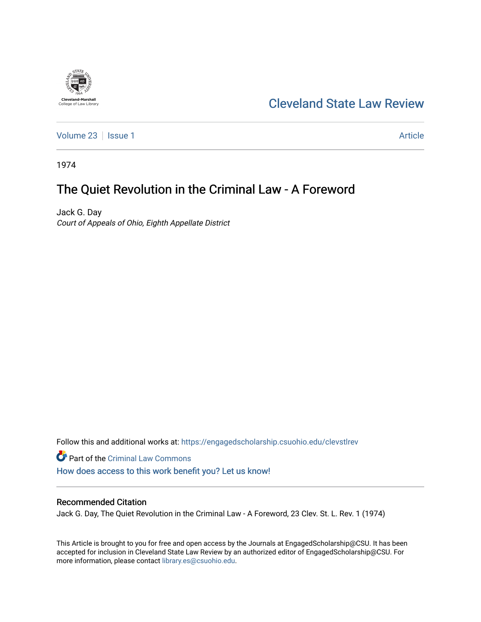# [Cleveland State Law Review](https://engagedscholarship.csuohio.edu/clevstlrev)

[Volume 23](https://engagedscholarship.csuohio.edu/clevstlrev/vol23) | [Issue 1](https://engagedscholarship.csuohio.edu/clevstlrev/vol23/iss1) Article

1974

**Cleveland-Marshall**<br>College of Law Library

## The Quiet Revolution in the Criminal Law - A Foreword

Jack G. Day Court of Appeals of Ohio, Eighth Appellate District

Follow this and additional works at: [https://engagedscholarship.csuohio.edu/clevstlrev](https://engagedscholarship.csuohio.edu/clevstlrev?utm_source=engagedscholarship.csuohio.edu%2Fclevstlrev%2Fvol23%2Fiss1%2F32&utm_medium=PDF&utm_campaign=PDFCoverPages)

Part of the [Criminal Law Commons](http://network.bepress.com/hgg/discipline/912?utm_source=engagedscholarship.csuohio.edu%2Fclevstlrev%2Fvol23%2Fiss1%2F32&utm_medium=PDF&utm_campaign=PDFCoverPages)  [How does access to this work benefit you? Let us know!](http://library.csuohio.edu/engaged/)

## Recommended Citation

Jack G. Day, The Quiet Revolution in the Criminal Law - A Foreword, 23 Clev. St. L. Rev. 1 (1974)

This Article is brought to you for free and open access by the Journals at EngagedScholarship@CSU. It has been accepted for inclusion in Cleveland State Law Review by an authorized editor of EngagedScholarship@CSU. For more information, please contact [library.es@csuohio.edu](mailto:library.es@csuohio.edu).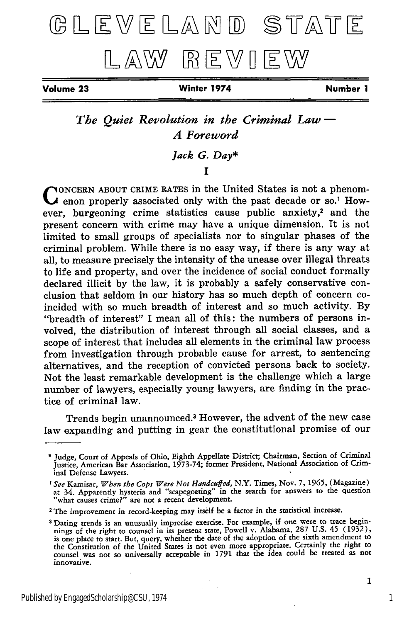# GLEVELAND STATE LAW REVIEW

**Volume 23 Winter 1974 Number 1**

*The Quiet Revolution in the Criminal Law* **-** *A Foreword*

## *Jack G. Day\**

## **I**

**NONCERN ABOUT CRIME RATES in the United States is not a phenom**enon properly associated only with the past decade or so.<sup>1</sup> However, burgeoning crime statistics cause public anxiety,<sup>2</sup> and the present concern with crime may have a unique dimension. It is not limited to small groups of specialists nor to singular phases of the criminal problem. While there is no easy way, if there is any way at all, to measure precisely the intensity of the unease over illegal threats to life and property, and over the incidence of social conduct formally declared illicit by the law, it is probably a safely conservative conclusion that seldom in our history has so much depth of concern coincided with so much breadth of interest and so much activity. By "breadth of interest" I mean all of this: the numbers of persons involved, the distribution of interest through all social classes, and a scope of interest that includes all elements in the criminal law process from investigation through probable cause for arrest, to sentencing alternatives, and the reception of convicted persons back to society. Not the least remarkable development is the challenge which a large number of lawyers, especially young lawyers, are finding in the practice of criminal law.

Trends begin unannounced.3 However, the advent of the new case law expanding and putting in gear the constitutional promise of our

Judge, Court of Appeals of Ohio, Eighth Appellate District; Chairman, Section of Criminal Justice, American Bar Association, 1973-74; former President, National Association of Criminal Defense Lawyers.

*<sup>&#</sup>x27;See* Kamisar, *When the Cops Were Not Handcu fed,* N.Y. Times, Nov. **7, 1965,** (Magazine) **at** 34. Apparently hysteria and "scapegoating" in the search for answers to the question "what causes crime?" are not a recent development.

<sup>2</sup> The improvement in record-keeping may itself be a factor in the statistical increase.

**<sup>3</sup>** Dating trends is an unusually imprecise exercise. For example, if one were to trace begin-nings of the right to counsel in its present state, Powell v. Alabama, 287 U.S. 45 (1932), is one place to start. But, query, whether the date of the adoption of the sixth amendment to the Constitution of the United States is not even more appropriate. Certainly the right to counsel was not so universally acceptable in 1791 that the idea could be treated as not innovative.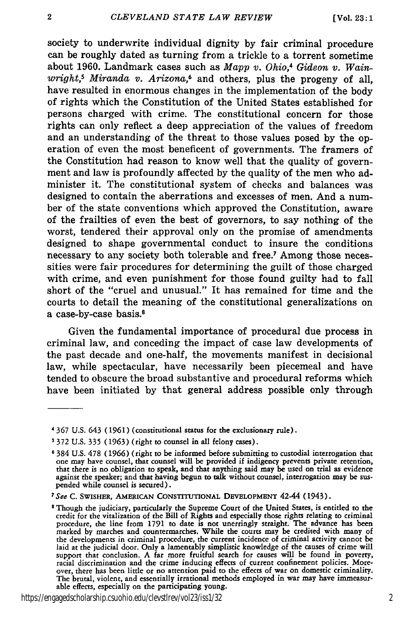society to underwrite individual dignity by fair criminal procedure can be roughly dated as turning from a trickle to a torrent sometime about 1960. Landmark cases such as *Mapp v. Ohio,4 Gideon v. Wainwright,s Miranda v. Arizona,6* and others, plus the progeny of all, have resulted in enormous changes in the implementation of the body of rights which the Constitution of the United States established for persons charged with crime. The constitutional concern for those rights can only reflect a deep appreciation of the values of freedom and an understanding of the threat to those values posed by the operation of even the most beneficent of governments. The framers of the Constitution had reason to know well that the quality of government and law is profoundly affected by the quality of the men who administer it. The constitutional system of checks and balances was designed to contain the aberrations and excesses of men. And a number of the state conventions which approved the Constitution, aware of the frailties of even the best of governors, to say nothing of the worst, tendered their approval only on the promise of amendments designed to shape governmental conduct to insure the conditions necessary to any society both tolerable and free.7 Among those necessities were fair procedures for determining the guilt of those charged with crime, and even punishment for those found guilty had to fall short of the "cruel and unusual." It has remained for time and the courts to detail the meaning of the constitutional generalizations on a case-by-case basis.<sup>8</sup>

Given the fundamental importance of procedural due process in criminal law, and conceding the impact of case law developments of the past decade and one-half, the movements manifest in decisional law, while spectacular, have necessarily been piecemeal and have tended to obscure the broad substantive and procedural reforms which have been initiated by that general address possible only through

https://engagedscholarship.csuohio.edu/clevstlrev/vol23/iss1/32 2

*<sup>4</sup>***367 U.S.** 643 (1961) (constitutional status for the exclusionary rule).

**<sup>5</sup>** 372 U.S. **335** (1963) (right to counsel in all felony cases).

**<sup>6 384</sup>** U.S. 478 **(1966)** (right to be informed before submitting to custodial interrogation that one may have counsel, that counsel will be provided if indigency prevents private retention, that there is **no** obligation to speak, and that anything said may be used on trial as evidence against the speaker; and that having begun to talk without counsel, interrogation may be suspended while counsel is secured).

<sup>&</sup>lt;sup>7</sup> See C. SWISHER, AMERICAN CONSTITUTIONAL DEVELOPMENT 42-44 (1943).

<sup>&</sup>lt;sup>8</sup> Though the judiciary, particularly the Supreme Court of the United States, is entitled to the credit for the vitalization of the Bill of Rights and especially those rights relating to criminal procedure, the line from 1791 to date is not unerringly straight. The advance has been marked **by** marches and countermarches. While the courts may be credited with many of the developments in criminal procedure, the current incidence of criminal activity cannot be laid at the judicial door. Only a lamentably simplistic knowledge of the causes of crime will support that conclusion. **A** far more fruitful search for causes will be found in poverty, racial discrimination and the crime inducing effects of current confinement policies. Moreover, there has been little or no attention paid to the effects of war on domestic criminality. The brutal, violent, and essentially irrational methods employed in war may have immeasurable effects, especially on the participating young.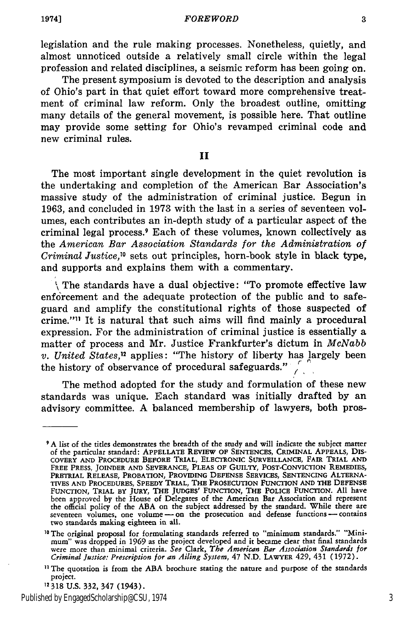*FOREWORD*

legislation and the rule making processes. Nonetheless, quietly, and almost unnoticed outside a relatively small circle within the legal profession and related disciplines, a seismic reform has been going on.

The present symposium is devoted to the description and analysis of Ohio's part in that quiet effort toward more comprehensive treatment of criminal law reform. Only the broadest outline, omitting many details of the general movement, is possible here. That outline may provide some setting for Ohio's revamped criminal code and new criminal rules.

**II**

The most important single development in the quiet revolution is the undertaking and completion of the American Bar Association's massive study of the administration of criminal justice. Begun in 1963, and concluded in 1973 with the last in a series of seventeen volumes, each contributes an in-depth study of a particular aspect of the criminal legal process.9 Each of these volumes, known collectively as the *American Bar Association Standards for the Administration of Criminal Justice,0* sets out principles, horn-book style in black type, and supports and explains them with a commentary.

\ The standards have a dual objective: "To promote effective law enforcement and the adequate protection of the public and to safeguard and amplify the constitutional rights of those suspected of crime."" It is natural that such aims will find mainly a procedural expression. For the administration of criminal justice is essentially a matter of process and Mr. Justice Frankfurter's dictum in *McNabb v. United States,12* applies: "The history of liberty has largely been the history of observance of procedural safeguards." */*

The method adopted for the study and formulation of these new standards was unique. Each standard was initially drafted by an advisory committee. A balanced membership of lawyers, both pros-

Published by EngagedScholarship@CSU, 1974 3

**<sup>9</sup>** A list of the titles demonstrates the breadth of the study and will indicate the subject matter of the particular standard: APPELLATE REVIEW OF SENTENCES, CRIMINAL APPEALS, DIS<br>COVERY AND PROCEDURE BEFORE TRIAL, ELECTRONIC SURVEILLANCE, FAIR TRIAL AND<br>FREE PRESS, JOINDER AND SEVERANCE, PLEAS OF GUILTY, POST-CONVICTIO PRETRIAL **RELEASE,** PROBATION, PROVIDING **DEFENSE SERVICES,** SENTENCING ALTERNA-**TIVES AND** PROCEDURES, SPEEDY TRIAL, THE PROSECUTION **FUNCTION AND** THE **DEFENSE** FUNCTION, TRIAL BY JURY, THE JUDGES' FUNCTION, THE POLICE FUNCTION. **All** have been approved **by** the House of Delegates of the American Bar Association and represent the official policy of the **ABA** on the subject addressed **by** the standard. While there are seventeen volumes, one volume **-** on the prosecution and defense functions **-** contains two standards making eighteen in all.

<sup>&</sup>lt;sup>10</sup> The original proposal for formulating standards referred to "minimum standards." "Minimum" was dropped in **1969** as the project developed and it became clear that final standards were more than minimal criteria. *See* Clark, *The American Bar Association Standards for Criminal Justice: Prescription for an Ailing System,* 47 N.D. LAWYER 429, 431 (1972).

**<sup>,1</sup>** The quotation is from the ABA brochure stating the nature and purpose of the standards project.

**<sup>12318</sup>** U.S. 332, 347 (1943).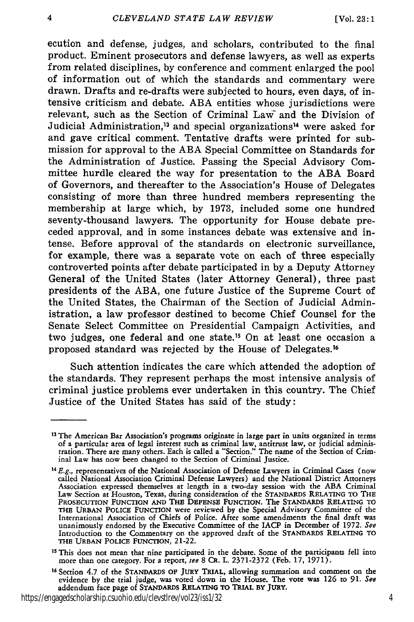ecution and defense, judges, and scholars, contributed to the final product. Eminent prosecutors and defense lawyers, as well as experts from related disciplines, by conference and comment enlarged the pool of information out of which the standards and commentary were drawn. Drafts and re-drafts were subjected to hours, even days, of intensive criticism and debate. ABA entities whose jurisdictions were relevant, such as the Section of Criminal Law and the Division of Judicial Administration,<sup>13</sup> and special organizations<sup>14</sup> were asked for and gave critical comment. Tentative drafts were printed for submission for approval to the ABA Special Committee on Standards for the Administration of Justice. Passing the Special Advisory Committee hurdle cleared the way for presentation to the ABA Board of Governors, and thereafter to the Association's House of Delegates consisting of more than three hundred members representing the membership at large which, by 1973, included some one hundred seventy-thousand lawyers. The opportunity for House debate preceded approval, and in some instances debate was extensive and intense. Before approval of the standards on electronic surveillance, for example, there was a separate vote on each of three especially controverted points after debate participated in by a Deputy Attorney General of the United States (later Attorney General), three past presidents of the ABA, one future Justice of the Supreme Court of the United States, the Chairman of the Section of Judicial Administration, a law professor destined to become Chief Counsel for the Senate Select Committee on Presidential Campaign Activities, and two judges, one federal and one state.<sup>15</sup> On at least one occasion a proposed standard was rejected by the House of Delegates.<sup>16</sup>

Such attention indicates the care which attended the adoption of the standards. They represent perhaps the most intensive analysis of criminal justice problems ever undertaken in this country. The Chief Justice of the United States has said of the study:

https://engagedscholarship.csuohio.edu/clevstlrev/vol23/iss1/32 4

<sup>&</sup>lt;sup>13</sup> The American Bar Association's programs originate in large part in units organized in terms of a particular area of legal interest such as criminal law, antitrust law, or judicial administration. There are many others. Each is called a "Section." The name of the Section of Criminal Law has now been changed to the Section of Criminal Justice. *14 E.g.,* representatives of the National Association of Defense Lawyers in Criminal Cases (now

<sup>&</sup>lt;sup>14</sup>  $E.g.,$  representatives of the National Association of Defense Lawyers in Criminal Cases (now called National Association Criminal Defense Lawyers) and the National District Attorneys Association expressed themselves at length in a two-day session with the ABA Criminal Law Section at Houston, Texas, during consideration of the STANDARDS RELATING TO THE PROSECUTION **FUNCTION AND** THE **DEFENSE** FUNCTION. The STANDARDS **RELATING** TO THE URBAN POLICE FUNCTION were reviewed by the Special Advisory Committee of the<br>International Association of Chiefs of Police. After some amendments the final draft was<br>unanimously endorsed by the Executive Committee of t Introduction to the Commentary on the approved draft of the **STANDARDS** RELATING TO THE **URBAN** POLICE FUNCTION, 21-22.

**<sup>15</sup>** This does not mean that nine participated in the debate. Some of the participants fell into more than one category. For a report, *see* **8** CR. L. 2371-2372 (Feb. **17, 1971).**

<sup>16</sup> **Section** 4.7 of the STANDARDS OF JURY TRIAL, allowing summation and comment on the evidence by the trial judge, was voted down in the House. The vote was **126** to **91.** *See* addendum face page of **STANDARDS RELATING** TO TRIAL BY JURY.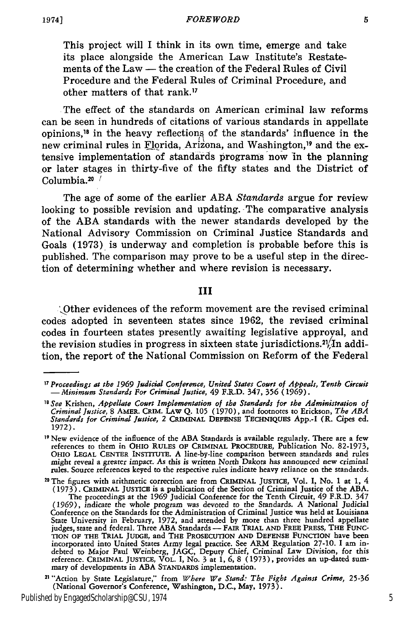This project will I think in its own time, emerge and take **its** place alongside the American Law Institute's Restatements of the Law **-** the creation of the Federal Rules of Civil Procedure and the Federal Rules of Criminal Procedure, and other matters of that rank."

The effect of the standards on American criminal law reforms can be seen in hundreds of citations of various standards in appellate opinions,<sup>18</sup> in the heavy reflections of the standards' influence in the new criminal rules in Florida, Arizona, and Washington,<sup>19</sup> and the extensive implementation of standards programs now in the planning or later stages in thirty-five of the fifty states and the District of Columbia.20 */*

The age of some of the earlier **ABA** *Standards* argue for review looking to possible revision and updating. The comparative analysis of the **ABA** standards with the newer standards developed **by** the National Advisory Commission on Criminal Justice Standards and Goals **(1973)** is underway and completion is probable before this is published. The comparison may prove to be a useful step in the direction of determining whether and where revision is necessary.

### **III**

',Other evidences of the reform movement are the revised criminal codes adopted in seventeen states since **1962,** the revised criminal codes in fourteen states presently awaiting legislative approval, and the revision studies in progress in sixteen state jurisdictions.<sup>21</sup>/ $\overline{I}$ n addition, the report of the National Commission on Reform of the Federal

Published by EngagedScholarship@CSU, 1974 5

5

*<sup>17</sup> Proceedings at the* **1969** Judicial Conference, United States Court of *Appeals, Tenth Circuit -Minimum Standards For Criminal Justice,* 49 F.R.D. 347, **356 (1969).**

*<sup>18</sup> See* Krishen, *Appellate Court Implementation of the Standards for the Administration of Criminal Justice,* **8 AMER. CRim. LAw Q. 105 (1970),** and footnotes to Erickson, *The ABA Standards for Criminal justice,* 2 **CRIMINAL DEFENSE** TECHNIQUES **App.-I** (R. Cipes ed. **1972).**

**<sup>19</sup>** New evidence of the influence of the **ABA** Standards is available regularly. There are a few references to them in OHIO **RULES OF** CRIMINAL PROCEDURE, Publication No. **82-1973,** OHIO **LEGAL CENTER** INSTITUTE. **A** line-by-line comparison between standards and rules might reveal a greater impact. As this is written North Dakota has announced new criminal rules. Source references keyed to the respective rules indicate heavy reliance on the standards.

**<sup>20</sup> The** figures with arithmetic correction are from CRIMINAL **JUSTICE, Vol. I,** No. **1** at **1,** 4 **(1973).** CRIMINAL **JUSTICE** is a publication of the Section of Criminal Justice of the **ABA.** The proceedings at the **1969** Judicial Conference for the Tenth Circuit, 49 F.R.D. 347 **(1969),** indicate the whole program was devoted to the Standards. **A** National Judicial Conference on the Standards for the Administration of Criminal Justice was held at Louisiana State University in February, **1972,** and attended **by** more than three hundred appellate judges, state and federal. Three **ABA** Standards **- FAIR TRIAL AND FREE PRESS, THE FUNC-TION OF THE TRIAL JUDGE,** and THE **PROSECUTION AND DEFENSE FUNCTION** have been incorporated into United States Army legal practice. See ARM Regulation **27-10. I** am indebted to Major Paul Weinberg, **JAGC,** Deputy Chief, Criminal Law Division, for this reference. CRIMINAL **JUSTICE,** VOL. I, No. **3** at **1, 6, 8 (1973),** provides an up-dated sum-mary of developments in **ABA STANDARDS** implementation.

**<sup>21</sup>** "Action **by** State Legislature,'" from *Where We Stand: The Fight Against Crime,* **25-36** (National Governor's Conference, Washington, **D.C.,** May, **1973).**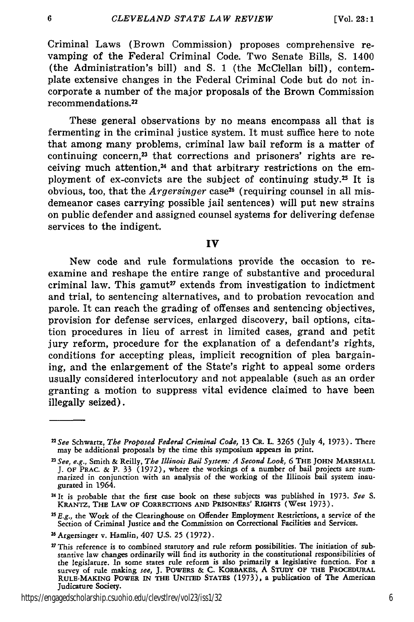Criminal Laws (Brown Commission) proposes comprehensive revamping of the Federal Criminal Code. Two Senate Bills, S. 1400 (the Administration's bill) and **S.** 1 (the McClellan bill), contemplate extensive changes in the Federal Criminal Code but do not incorporate a number of the major proposals of the Brown Commission recommendations. <sup>22</sup>

These general observations by no means encompass all that is fermenting in the criminal justice system. It must suffice here to note that among many problems, criminal law bail reform is a matter of continuing concern, $^{23}$  that corrections and prisoners' rights are receiving much attention,24 and that arbitrary restrictions on the employment of ex-convicts are the subject of continuing study.<sup>25</sup> It is obvious, too, that the *Argersinger* case<sup>26</sup> (requiring counsel in all misdemeanor cases carrying possible jail sentences) will put new strains on public defender and assigned counsel systems for delivering defense services to the indigent.

## **IV**

New code and rule formulations provide the occasion to reexamine and reshape the entire range of substantive and procedural criminal law. This gamut<sup>27</sup> extends from investigation to indictment and trial, to sentencing alternatives, and to probation revocation and parole. It can reach the grading of offenses and sentencing objectives, provision for defense services, enlarged discovery, bail options, citation procedures in lieu of arrest in limited cases, grand and petit jury reform, procedure for the explanation of a defendant's rights, conditions for accepting pleas, implicit recognition of plea bargaining, and the enlargement of the State's right to appeal some orders usually considered interlocutory and not appealable (such as an order granting a motion to suppress vital evidence claimed to have been illegally seized).

*<sup>2</sup>See* Schwartz, *The Proposed Federal Criminal Code,* 13 CR. L. **3265** (July 4, 1973). There may be additional proposals by the time this symposium appears in print.

*<sup>23</sup>See, e.g.,* Smith **&** Reilly, *The Illinois Bail System: A Second Look, 6* **THE JOHN MARSHALL** J. OF PRAC. & P. 33 (1972), where the workings of a number of bail projects are sum- marized in conjunction with an analysis of the working of the Illinois bail system inaugurated in 1964.

*<sup>U</sup>*It is probable that the first case book on these subjects was published in 1973. *See* S. KRANTZ, THE **LAW** OF CORRECTIONS **AND** PRISONERS' **RIGHTS** (West 1973).

*<sup>2</sup> E.g.,* the Work of the Clearinghouse on Offender Employment Restrictions, a service of the Section of Criminal Justice and the Commission on Correctional Facilities and Services.

<sup>2</sup> 6Argersinger v. Hamlin, 407 U.S. 25 (1972).

 $27$  This reference is to combined statutory and rule reform possibilities. The initiation of substantive law changes ordinarily will find its authority in the constitutional responsibilities of the legislature. In some states rule reform is also primarily a legislative function. For a survey of rule making *see,* **J.** POWERS **& C. KORBAKES, A STUDY OF THE PROCEDURAL RULE-MAKING POWER IN THE UNITED STATES (1973),** a publication of The American Judicature Society.